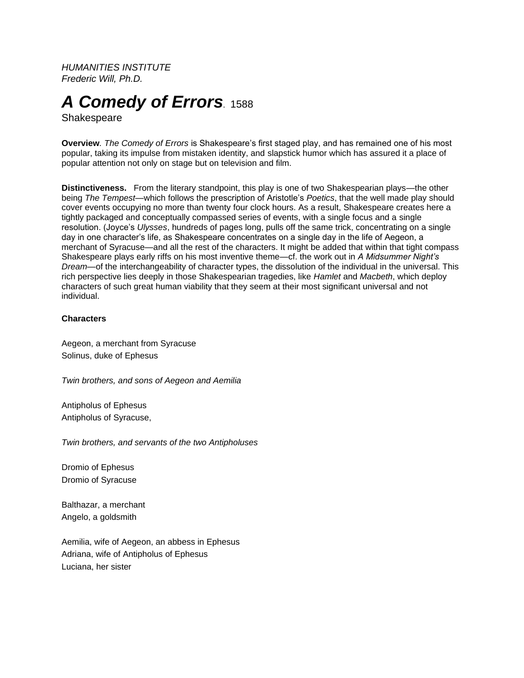*HUMANITIES INSTITUTE Frederic Will, Ph.D.*

# *A Comedy of Errors.* <sup>1588</sup>

Shakespeare

**Overview***. The Comedy of Errors* is Shakespeare's first staged play, and has remained one of his most popular, taking its impulse from mistaken identity, and slapstick humor which has assured it a place of popular attention not only on stage but on television and film.

**Distinctiveness.** From the literary standpoint, this play is one of two Shakespearian plays—the other being *The Tempest*—which follows the prescription of Aristotle's *Poetics*, that the well made play should cover events occupying no more than twenty four clock hours. As a result, Shakespeare creates here a tightly packaged and conceptually compassed series of events, with a single focus and a single resolution. (Joyce's *Ulysses*, hundreds of pages long, pulls off the same trick, concentrating on a single day in one character's life, as Shakespeare concentrates on a single day in the life of Aegeon, a merchant of Syracuse—and all the rest of the characters. It might be added that within that tight compass Shakespeare plays early riffs on his most inventive theme—cf. the work out in *A Midsummer Night's Dream*—of the interchangeability of character types, the dissolution of the individual in the universal. This rich perspective lies deeply in those Shakespearian tragedies, like *Hamlet* and *Macbeth*, which deploy characters of such great human viability that they seem at their most significant universal and not individual.

## **Characters**

Aegeon, a merchant from Syracuse Solinus, duke of Ephesus

*Twin brothers, and sons of Aegeon and Aemilia*

Antipholus of Ephesus Antipholus of Syracuse,

*Twin brothers, and servants of the two Antipholuses*

Dromio of Ephesus Dromio of Syracuse

Balthazar, a merchant Angelo, a goldsmith

Aemilia, wife of Aegeon, an abbess in Ephesus Adriana, wife of Antipholus of Ephesus Luciana, her sister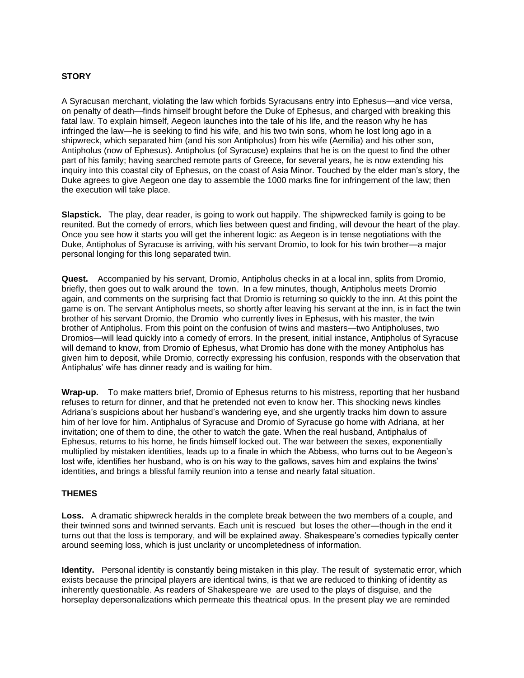# **STORY**

A Syracusan merchant, violating the law which forbids Syracusans entry into Ephesus—and vice versa, on penalty of death—finds himself brought before the Duke of Ephesus, and charged with breaking this fatal law. To explain himself, Aegeon launches into the tale of his life, and the reason why he has infringed the law—he is seeking to find his wife, and his two twin sons, whom he lost long ago in a shipwreck, which separated him (and his son Antipholus) from his wife (Aemilia) and his other son, Antipholus (now of Ephesus). Antipholus (of Syracuse) explains that he is on the quest to find the other part of his family; having searched remote parts of Greece, for several years, he is now extending his inquiry into this coastal city of Ephesus, on the coast of Asia Minor. Touched by the elder man's story, the Duke agrees to give Aegeon one day to assemble the 1000 marks fine for infringement of the law; then the execution will take place.

**Slapstick.** The play, dear reader, is going to work out happily. The shipwrecked family is going to be reunited. But the comedy of errors, which lies between quest and finding, will devour the heart of the play. Once you see how it starts you will get the inherent logic: as Aegeon is in tense negotiations with the Duke, Antipholus of Syracuse is arriving, with his servant Dromio, to look for his twin brother—a major personal longing for this long separated twin.

**Quest.** Accompanied by his servant, Dromio, Antipholus checks in at a local inn, splits from Dromio, briefly, then goes out to walk around the town. In a few minutes, though, Antipholus meets Dromio again, and comments on the surprising fact that Dromio is returning so quickly to the inn. At this point the game is on. The servant Antipholus meets, so shortly after leaving his servant at the inn, is in fact the twin brother of his servant Dromio, the Dromio who currently lives in Ephesus, with his master, the twin brother of Antipholus. From this point on the confusion of twins and masters—two Antipholuses, two Dromios—will lead quickly into a comedy of errors. In the present, initial instance, Antipholus of Syracuse will demand to know, from Dromio of Ephesus, what Dromio has done with the money Antipholus has given him to deposit, while Dromio, correctly expressing his confusion, responds with the observation that Antiphalus' wife has dinner ready and is waiting for him.

**Wrap-up.** To make matters brief, Dromio of Ephesus returns to his mistress, reporting that her husband refuses to return for dinner, and that he pretended not even to know her. This shocking news kindles Adriana's suspicions about her husband's wandering eye, and she urgently tracks him down to assure him of her love for him. Antiphalus of Syracuse and Dromio of Syracuse go home with Adriana, at her invitation; one of them to dine, the other to watch the gate. When the real husband, Antiphalus of Ephesus, returns to his home, he finds himself locked out. The war between the sexes, exponentially multiplied by mistaken identities, leads up to a finale in which the Abbess, who turns out to be Aegeon's lost wife, identifies her husband, who is on his way to the gallows, saves him and explains the twins' identities, and brings a blissful family reunion into a tense and nearly fatal situation.

### **THEMES**

**Loss.** A dramatic shipwreck heralds in the complete break between the two members of a couple, and their twinned sons and twinned servants. Each unit is rescued but loses the other—though in the end it turns out that the loss is temporary, and will be explained away. Shakespeare's comedies typically center around seeming loss, which is just unclarity or uncompletedness of information.

**Identity.** Personal identity is constantly being mistaken in this play. The result of systematic error, which exists because the principal players are identical twins, is that we are reduced to thinking of identity as inherently questionable. As readers of Shakespeare we are used to the plays of disguise, and the horseplay depersonalizations which permeate this theatrical opus. In the present play we are reminded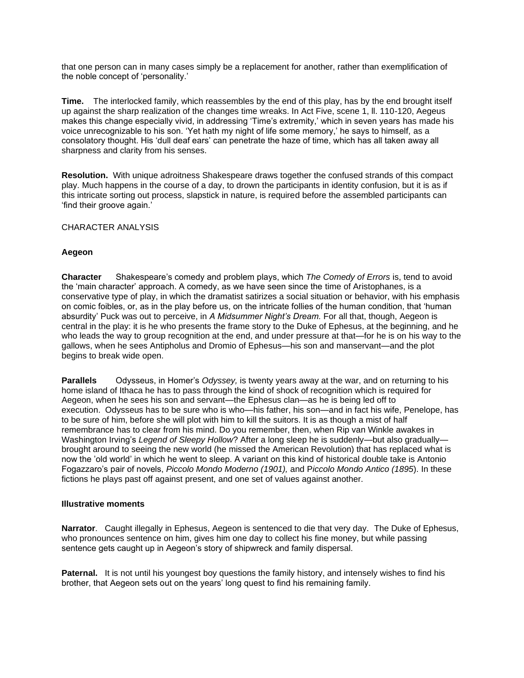that one person can in many cases simply be a replacement for another, rather than exemplification of the noble concept of 'personality.'

**Time.** The interlocked family, which reassembles by the end of this play, has by the end brought itself up against the sharp realization of the changes time wreaks. In Act Five, scene 1, ll. 110-120, Aegeus makes this change especially vivid, in addressing 'Time's extremity,' which in seven years has made his voice unrecognizable to his son. 'Yet hath my night of life some memory,' he says to himself, as a consolatory thought. His 'dull deaf ears' can penetrate the haze of time, which has all taken away all sharpness and clarity from his senses.

**Resolution.** With unique adroitness Shakespeare draws together the confused strands of this compact play. Much happens in the course of a day, to drown the participants in identity confusion, but it is as if this intricate sorting out process, slapstick in nature, is required before the assembled participants can 'find their groove again.'

CHARACTER ANALYSIS

### **Aegeon**

**Character** Shakespeare's comedy and problem plays, which *The Comedy of Errors* is, tend to avoid the 'main character' approach. A comedy, as we have seen since the time of Aristophanes, is a conservative type of play, in which the dramatist satirizes a social situation or behavior, with his emphasis on comic foibles, or, as in the play before us, on the intricate follies of the human condition, that 'human absurdity' Puck was out to perceive, in *A Midsummer Night's Dream.* For all that, though, Aegeon is central in the play: it is he who presents the frame story to the Duke of Ephesus, at the beginning, and he who leads the way to group recognition at the end, and under pressure at that—for he is on his way to the gallows, when he sees Antipholus and Dromio of Ephesus—his son and manservant—and the plot begins to break wide open.

**Parallels** Odysseus, in Homer's *Odyssey,* is twenty years away at the war, and on returning to his home island of Ithaca he has to pass through the kind of shock of recognition which is required for Aegeon, when he sees his son and servant—the Ephesus clan—as he is being led off to execution. Odysseus has to be sure who is who—his father, his son—and in fact his wife, Penelope, has to be sure of him, before she will plot with him to kill the suitors. It is as though a mist of half remembrance has to clear from his mind. Do you remember, then, when Rip van Winkle awakes in Washington Irving's *Legend of Sleepy Hollow*? After a long sleep he is suddenly—but also gradually brought around to seeing the new world (he missed the American Revolution) that has replaced what is now the 'old world' in which he went to sleep. A variant on this kind of historical double take is Antonio Fogazzaro's pair of novels, *Piccolo Mondo Moderno (1901),* and P*iccolo Mondo Antico (1895*). In these fictions he plays past off against present, and one set of values against another.

### **Illustrative moments**

**Narrator**. Caught illegally in Ephesus, Aegeon is sentenced to die that very day. The Duke of Ephesus, who pronounces sentence on him, gives him one day to collect his fine money, but while passing sentence gets caught up in Aegeon's story of shipwreck and family dispersal.

**Paternal.** It is not until his youngest boy questions the family history, and intensely wishes to find his brother, that Aegeon sets out on the years' long quest to find his remaining family.